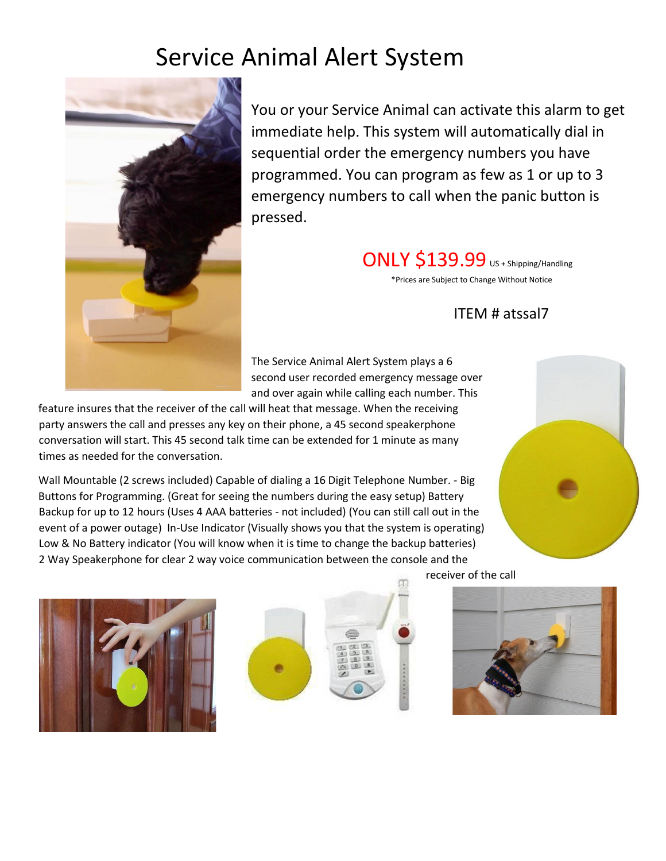# Service Animal Alert System



You or your Service Animal can activate this alarm to get immediate help. This system will automatically dial in sequential order the emergency numbers you have programmed. You can program as few as 1 or up to 3 emergency numbers to call when the panic button is pressed.

> ONLY \$139.99 US + Shipping/Handling \*Prices are Subject to Change Without Notice

### ITEM # atssal7

The Service Animal Alert System plays a 6 second user recorded emergency message over and over again while calling each number. This

feature insures that the receiver of the call will heat that message. When the receiving party answers the call and presses any key on their phone, a 45 second speakerphone conversation will start. This 45 second talk time can be extended for 1 minute as many times as needed for the conversation.

Wall Mountable (2 screws included) Capable of dialing a 16 Digit Telephone Number. - Big Buttons for Programming. (Great for seeing the numbers during the easy setup) Battery Backup for up to 12 hours (Uses 4 AAA batteries - not included) (You can still call out in the event of a power outage) In-Use Indicator (Visually shows you that the system is operating) Low & No Battery indicator (You will know when it is time to change the backup batteries) 2 Way Speakerphone for clear 2 way voice communication between the console and the









receiver of the call